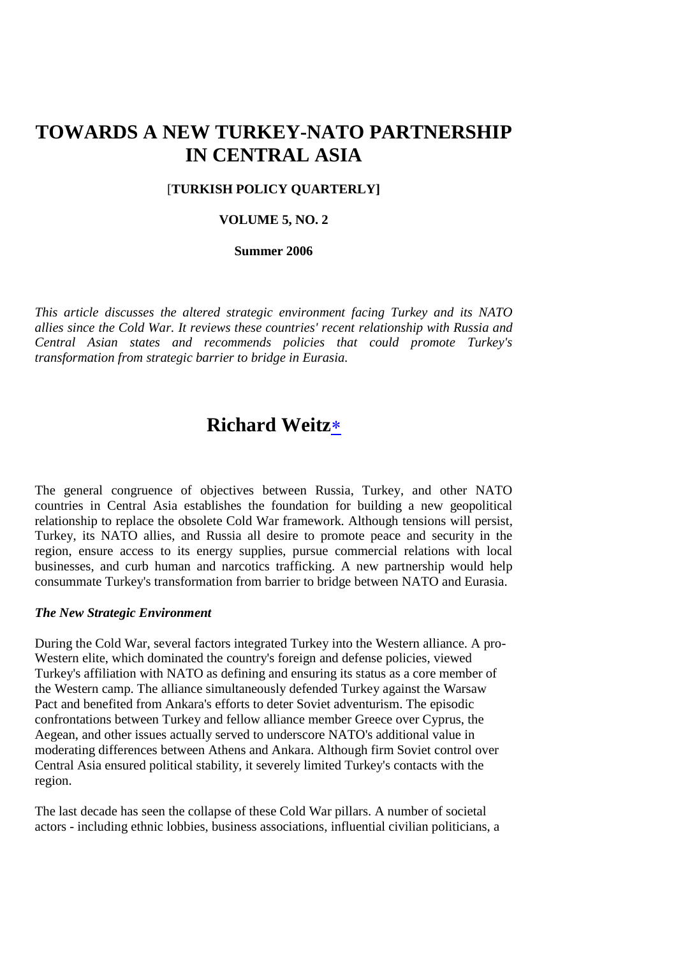# **TOWARDS A NEW TURKEY-NATO PARTNERSHIP IN CENTRAL ASIA**

#### [**TURKISH POLICY QUARTERLY]**

# **VOLUME 5, NO. 2**

#### **Summer 2006**

*This article discusses the altered strategic environment facing Turkey and its NATO allies since the Cold War. It reviews these countries' recent relationship with Russia and Central Asian states and recommends policies that could promote Turkey's transformation from strategic barrier to bridge in Eurasia.*

# **Richard Weitz**

The general congruence of objectives between Russia, Turkey, and other NATO countries in Central Asia establishes the foundation for building a new geopolitical relationship to replace the obsolete Cold War framework. Although tensions will persist, Turkey, its NATO allies, and Russia all desire to promote peace and security in the region, ensure access to its energy supplies, pursue commercial relations with local businesses, and curb human and narcotics trafficking. A new partnership would help consummate Turkey's transformation from barrier to bridge between NATO and Eurasia.

#### *The New Strategic Environment*

During the Cold War, several factors integrated Turkey into the Western alliance. A pro-Western elite, which dominated the country's foreign and defense policies, viewed Turkey's affiliation with NATO as defining and ensuring its status as a core member of the Western camp. The alliance simultaneously defended Turkey against the Warsaw Pact and benefited from Ankara's efforts to deter Soviet adventurism. The episodic confrontations between Turkey and fellow alliance member Greece over Cyprus, the Aegean, and other issues actually served to underscore NATO's additional value in moderating differences between Athens and Ankara. Although firm Soviet control over Central Asia ensured political stability, it severely limited Turkey's contacts with the region.

The last decade has seen the collapse of these Cold War pillars. A number of societal actors - including ethnic lobbies, business associations, influential civilian politicians, a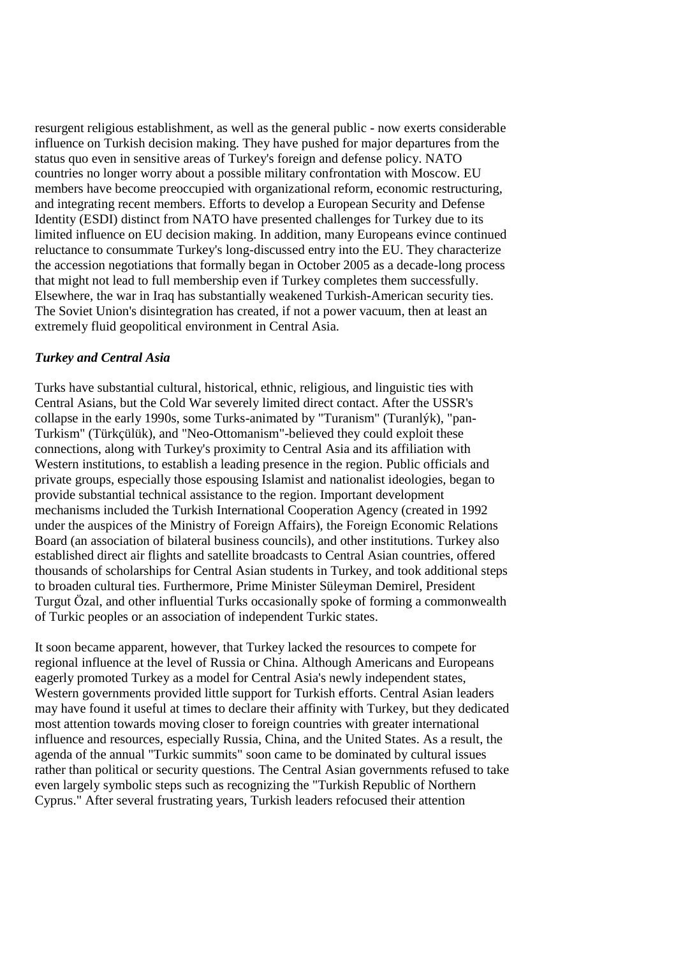resurgent religious establishment, as well as the general public - now exerts considerable influence on Turkish decision making. They have pushed for major departures from the status quo even in sensitive areas of Turkey's foreign and defense policy. NATO countries no longer worry about a possible military confrontation with Moscow. EU members have become preoccupied with organizational reform, economic restructuring, and integrating recent members. Efforts to develop a European Security and Defense Identity (ESDI) distinct from NATO have presented challenges for Turkey due to its limited influence on EU decision making. In addition, many Europeans evince continued reluctance to consummate Turkey's long-discussed entry into the EU. They characterize the accession negotiations that formally began in October 2005 as a decade-long process that might not lead to full membership even if Turkey completes them successfully. Elsewhere, the war in Iraq has substantially weakened Turkish-American security ties. The Soviet Union's disintegration has created, if not a power vacuum, then at least an extremely fluid geopolitical environment in Central Asia.

# *Turkey and Central Asia*

Turks have substantial cultural, historical, ethnic, religious, and linguistic ties with Central Asians, but the Cold War severely limited direct contact. After the USSR's collapse in the early 1990s, some Turks-animated by "Turanism" (Turanlýk), "pan-Turkism" (Türkçülük), and "Neo-Ottomanism"-believed they could exploit these connections, along with Turkey's proximity to Central Asia and its affiliation with Western institutions, to establish a leading presence in the region. Public officials and private groups, especially those espousing Islamist and nationalist ideologies, began to provide substantial technical assistance to the region. Important development mechanisms included the Turkish International Cooperation Agency (created in 1992 under the auspices of the Ministry of Foreign Affairs), the Foreign Economic Relations Board (an association of bilateral business councils), and other institutions. Turkey also established direct air flights and satellite broadcasts to Central Asian countries, offered thousands of scholarships for Central Asian students in Turkey, and took additional steps to broaden cultural ties. Furthermore, Prime Minister Süleyman Demirel, President Turgut Özal, and other influential Turks occasionally spoke of forming a commonwealth of Turkic peoples or an association of independent Turkic states.

It soon became apparent, however, that Turkey lacked the resources to compete for regional influence at the level of Russia or China. Although Americans and Europeans eagerly promoted Turkey as a model for Central Asia's newly independent states, Western governments provided little support for Turkish efforts. Central Asian leaders may have found it useful at times to declare their affinity with Turkey, but they dedicated most attention towards moving closer to foreign countries with greater international influence and resources, especially Russia, China, and the United States. As a result, the agenda of the annual "Turkic summits" soon came to be dominated by cultural issues rather than political or security questions. The Central Asian governments refused to take even largely symbolic steps such as recognizing the "Turkish Republic of Northern Cyprus." After several frustrating years, Turkish leaders refocused their attention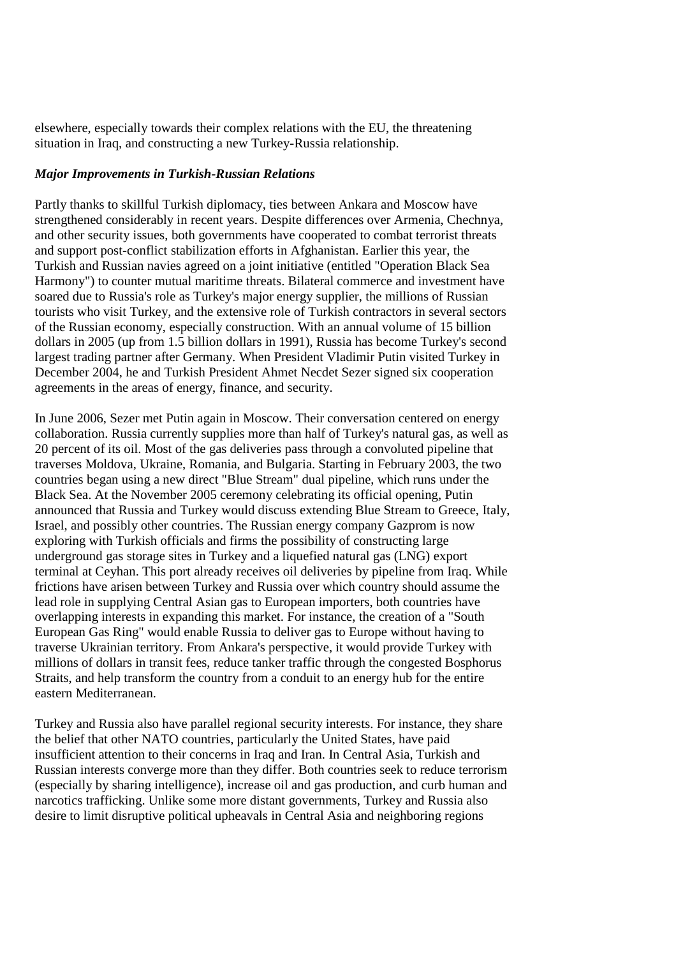elsewhere, especially towards their complex relations with the EU, the threatening situation in Iraq, and constructing a new Turkey-Russia relationship.

#### *Major Improvements in Turkish-Russian Relations*

Partly thanks to skillful Turkish diplomacy, ties between Ankara and Moscow have strengthened considerably in recent years. Despite differences over Armenia, Chechnya, and other security issues, both governments have cooperated to combat terrorist threats and support post-conflict stabilization efforts in Afghanistan. Earlier this year, the Turkish and Russian navies agreed on a joint initiative (entitled "Operation Black Sea Harmony") to counter mutual maritime threats. Bilateral commerce and investment have soared due to Russia's role as Turkey's major energy supplier, the millions of Russian tourists who visit Turkey, and the extensive role of Turkish contractors in several sectors of the Russian economy, especially construction. With an annual volume of 15 billion dollars in 2005 (up from 1.5 billion dollars in 1991), Russia has become Turkey's second largest trading partner after Germany. When President Vladimir Putin visited Turkey in December 2004, he and Turkish President Ahmet Necdet Sezer signed six cooperation agreements in the areas of energy, finance, and security.

In June 2006, Sezer met Putin again in Moscow. Their conversation centered on energy collaboration. Russia currently supplies more than half of Turkey's natural gas, as well as 20 percent of its oil. Most of the gas deliveries pass through a convoluted pipeline that traverses Moldova, Ukraine, Romania, and Bulgaria. Starting in February 2003, the two countries began using a new direct "Blue Stream" dual pipeline, which runs under the Black Sea. At the November 2005 ceremony celebrating its official opening, Putin announced that Russia and Turkey would discuss extending Blue Stream to Greece, Italy, Israel, and possibly other countries. The Russian energy company Gazprom is now exploring with Turkish officials and firms the possibility of constructing large underground gas storage sites in Turkey and a liquefied natural gas (LNG) export terminal at Ceyhan. This port already receives oil deliveries by pipeline from Iraq. While frictions have arisen between Turkey and Russia over which country should assume the lead role in supplying Central Asian gas to European importers, both countries have overlapping interests in expanding this market. For instance, the creation of a "South European Gas Ring" would enable Russia to deliver gas to Europe without having to traverse Ukrainian territory. From Ankara's perspective, it would provide Turkey with millions of dollars in transit fees, reduce tanker traffic through the congested Bosphorus Straits, and help transform the country from a conduit to an energy hub for the entire eastern Mediterranean.

Turkey and Russia also have parallel regional security interests. For instance, they share the belief that other NATO countries, particularly the United States, have paid insufficient attention to their concerns in Iraq and Iran. In Central Asia, Turkish and Russian interests converge more than they differ. Both countries seek to reduce terrorism (especially by sharing intelligence), increase oil and gas production, and curb human and narcotics trafficking. Unlike some more distant governments, Turkey and Russia also desire to limit disruptive political upheavals in Central Asia and neighboring regions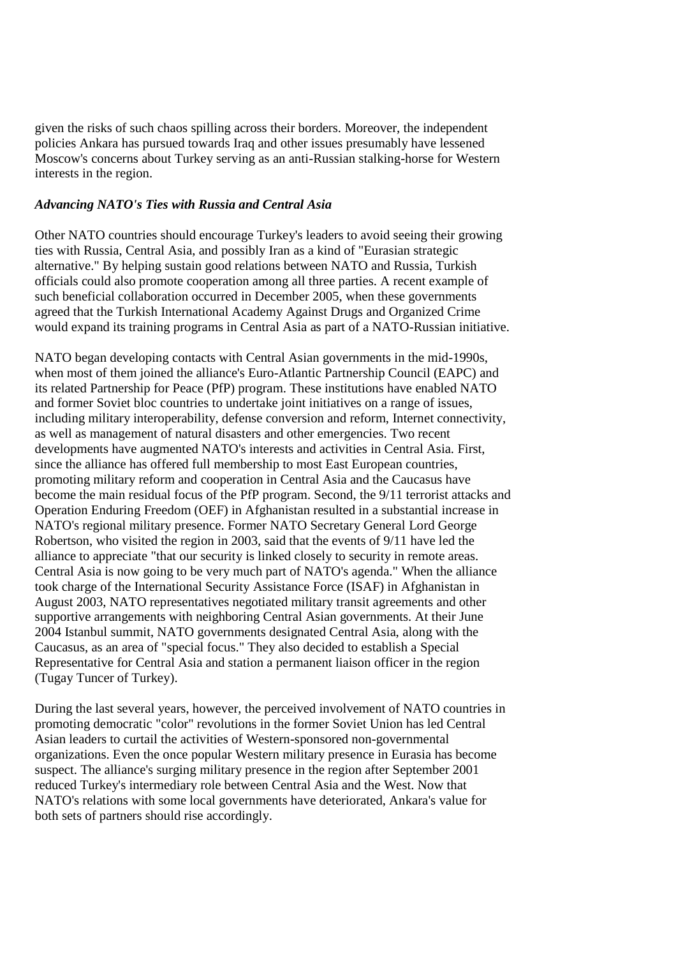given the risks of such chaos spilling across their borders. Moreover, the independent policies Ankara has pursued towards Iraq and other issues presumably have lessened Moscow's concerns about Turkey serving as an anti-Russian stalking-horse for Western interests in the region.

# *Advancing NATO's Ties with Russia and Central Asia*

Other NATO countries should encourage Turkey's leaders to avoid seeing their growing ties with Russia, Central Asia, and possibly Iran as a kind of "Eurasian strategic alternative." By helping sustain good relations between NATO and Russia, Turkish officials could also promote cooperation among all three parties. A recent example of such beneficial collaboration occurred in December 2005, when these governments agreed that the Turkish International Academy Against Drugs and Organized Crime would expand its training programs in Central Asia as part of a NATO-Russian initiative.

NATO began developing contacts with Central Asian governments in the mid-1990s, when most of them joined the alliance's Euro-Atlantic Partnership Council (EAPC) and its related Partnership for Peace (PfP) program. These institutions have enabled NATO and former Soviet bloc countries to undertake joint initiatives on a range of issues, including military interoperability, defense conversion and reform, Internet connectivity, as well as management of natural disasters and other emergencies. Two recent developments have augmented NATO's interests and activities in Central Asia. First, since the alliance has offered full membership to most East European countries, promoting military reform and cooperation in Central Asia and the Caucasus have become the main residual focus of the PfP program. Second, the 9/11 terrorist attacks and Operation Enduring Freedom (OEF) in Afghanistan resulted in a substantial increase in NATO's regional military presence. Former NATO Secretary General Lord George Robertson, who visited the region in 2003, said that the events of 9/11 have led the alliance to appreciate "that our security is linked closely to security in remote areas. Central Asia is now going to be very much part of NATO's agenda." When the alliance took charge of the International Security Assistance Force (ISAF) in Afghanistan in August 2003, NATO representatives negotiated military transit agreements and other supportive arrangements with neighboring Central Asian governments. At their June 2004 Istanbul summit, NATO governments designated Central Asia, along with the Caucasus, as an area of "special focus." They also decided to establish a Special Representative for Central Asia and station a permanent liaison officer in the region (Tugay Tuncer of Turkey).

During the last several years, however, the perceived involvement of NATO countries in promoting democratic "color" revolutions in the former Soviet Union has led Central Asian leaders to curtail the activities of Western-sponsored non-governmental organizations. Even the once popular Western military presence in Eurasia has become suspect. The alliance's surging military presence in the region after September 2001 reduced Turkey's intermediary role between Central Asia and the West. Now that NATO's relations with some local governments have deteriorated, Ankara's value for both sets of partners should rise accordingly.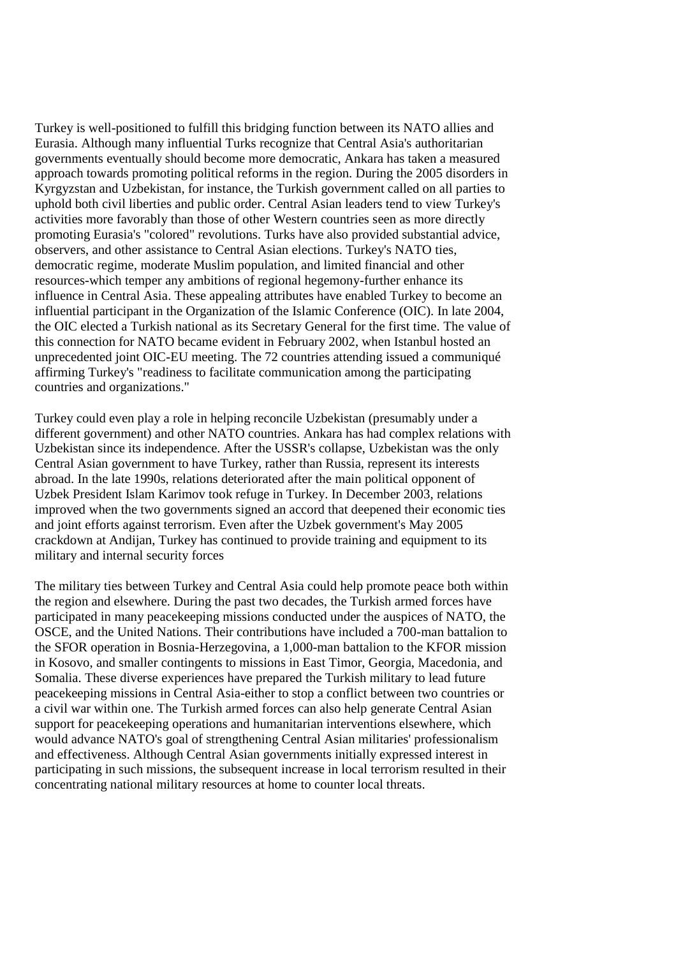Turkey is well-positioned to fulfill this bridging function between its NATO allies and Eurasia. Although many influential Turks recognize that Central Asia's authoritarian governments eventually should become more democratic, Ankara has taken a measured approach towards promoting political reforms in the region. During the 2005 disorders in Kyrgyzstan and Uzbekistan, for instance, the Turkish government called on all parties to uphold both civil liberties and public order. Central Asian leaders tend to view Turkey's activities more favorably than those of other Western countries seen as more directly promoting Eurasia's "colored" revolutions. Turks have also provided substantial advice, observers, and other assistance to Central Asian elections. Turkey's NATO ties, democratic regime, moderate Muslim population, and limited financial and other resources-which temper any ambitions of regional hegemony-further enhance its influence in Central Asia. These appealing attributes have enabled Turkey to become an influential participant in the Organization of the Islamic Conference (OIC). In late 2004, the OIC elected a Turkish national as its Secretary General for the first time. The value of this connection for NATO became evident in February 2002, when Istanbul hosted an unprecedented joint OIC-EU meeting. The 72 countries attending issued a communiqué affirming Turkey's "readiness to facilitate communication among the participating countries and organizations."

Turkey could even play a role in helping reconcile Uzbekistan (presumably under a different government) and other NATO countries. Ankara has had complex relations with Uzbekistan since its independence. After the USSR's collapse, Uzbekistan was the only Central Asian government to have Turkey, rather than Russia, represent its interests abroad. In the late 1990s, relations deteriorated after the main political opponent of Uzbek President Islam Karimov took refuge in Turkey. In December 2003, relations improved when the two governments signed an accord that deepened their economic ties and joint efforts against terrorism. Even after the Uzbek government's May 2005 crackdown at Andijan, Turkey has continued to provide training and equipment to its military and internal security forces

The military ties between Turkey and Central Asia could help promote peace both within the region and elsewhere. During the past two decades, the Turkish armed forces have participated in many peacekeeping missions conducted under the auspices of NATO, the OSCE, and the United Nations. Their contributions have included a 700-man battalion to the SFOR operation in Bosnia-Herzegovina, a 1,000-man battalion to the KFOR mission in Kosovo, and smaller contingents to missions in East Timor, Georgia, Macedonia, and Somalia. These diverse experiences have prepared the Turkish military to lead future peacekeeping missions in Central Asia-either to stop a conflict between two countries or a civil war within one. The Turkish armed forces can also help generate Central Asian support for peacekeeping operations and humanitarian interventions elsewhere, which would advance NATO's goal of strengthening Central Asian militaries' professionalism and effectiveness. Although Central Asian governments initially expressed interest in participating in such missions, the subsequent increase in local terrorism resulted in their concentrating national military resources at home to counter local threats.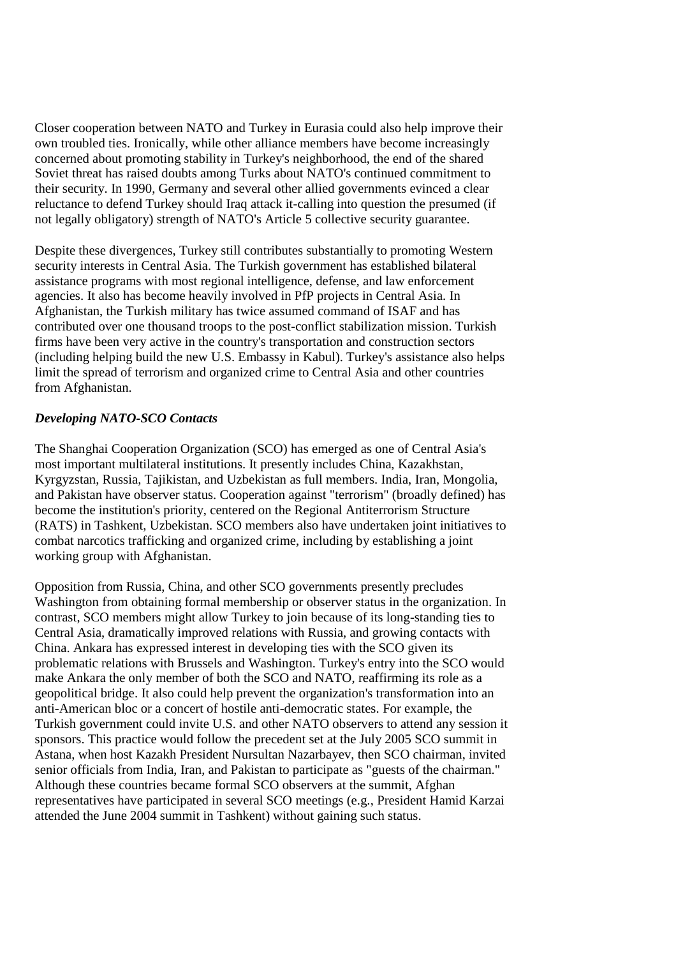Closer cooperation between NATO and Turkey in Eurasia could also help improve their own troubled ties. Ironically, while other alliance members have become increasingly concerned about promoting stability in Turkey's neighborhood, the end of the shared Soviet threat has raised doubts among Turks about NATO's continued commitment to their security. In 1990, Germany and several other allied governments evinced a clear reluctance to defend Turkey should Iraq attack it-calling into question the presumed (if not legally obligatory) strength of NATO's Article 5 collective security guarantee.

Despite these divergences, Turkey still contributes substantially to promoting Western security interests in Central Asia. The Turkish government has established bilateral assistance programs with most regional intelligence, defense, and law enforcement agencies. It also has become heavily involved in PfP projects in Central Asia. In Afghanistan, the Turkish military has twice assumed command of ISAF and has contributed over one thousand troops to the post-conflict stabilization mission. Turkish firms have been very active in the country's transportation and construction sectors (including helping build the new U.S. Embassy in Kabul). Turkey's assistance also helps limit the spread of terrorism and organized crime to Central Asia and other countries from Afghanistan.

### *Developing NATO-SCO Contacts*

The Shanghai Cooperation Organization (SCO) has emerged as one of Central Asia's most important multilateral institutions. It presently includes China, Kazakhstan, Kyrgyzstan, Russia, Tajikistan, and Uzbekistan as full members. India, Iran, Mongolia, and Pakistan have observer status. Cooperation against "terrorism" (broadly defined) has become the institution's priority, centered on the Regional Antiterrorism Structure (RATS) in Tashkent, Uzbekistan. SCO members also have undertaken joint initiatives to combat narcotics trafficking and organized crime, including by establishing a joint working group with Afghanistan.

Opposition from Russia, China, and other SCO governments presently precludes Washington from obtaining formal membership or observer status in the organization. In contrast, SCO members might allow Turkey to join because of its long-standing ties to Central Asia, dramatically improved relations with Russia, and growing contacts with China. Ankara has expressed interest in developing ties with the SCO given its problematic relations with Brussels and Washington. Turkey's entry into the SCO would make Ankara the only member of both the SCO and NATO, reaffirming its role as a geopolitical bridge. It also could help prevent the organization's transformation into an anti-American bloc or a concert of hostile anti-democratic states. For example, the Turkish government could invite U.S. and other NATO observers to attend any session it sponsors. This practice would follow the precedent set at the July 2005 SCO summit in Astana, when host Kazakh President Nursultan Nazarbayev, then SCO chairman, invited senior officials from India, Iran, and Pakistan to participate as "guests of the chairman." Although these countries became formal SCO observers at the summit, Afghan representatives have participated in several SCO meetings (e.g., President Hamid Karzai attended the June 2004 summit in Tashkent) without gaining such status.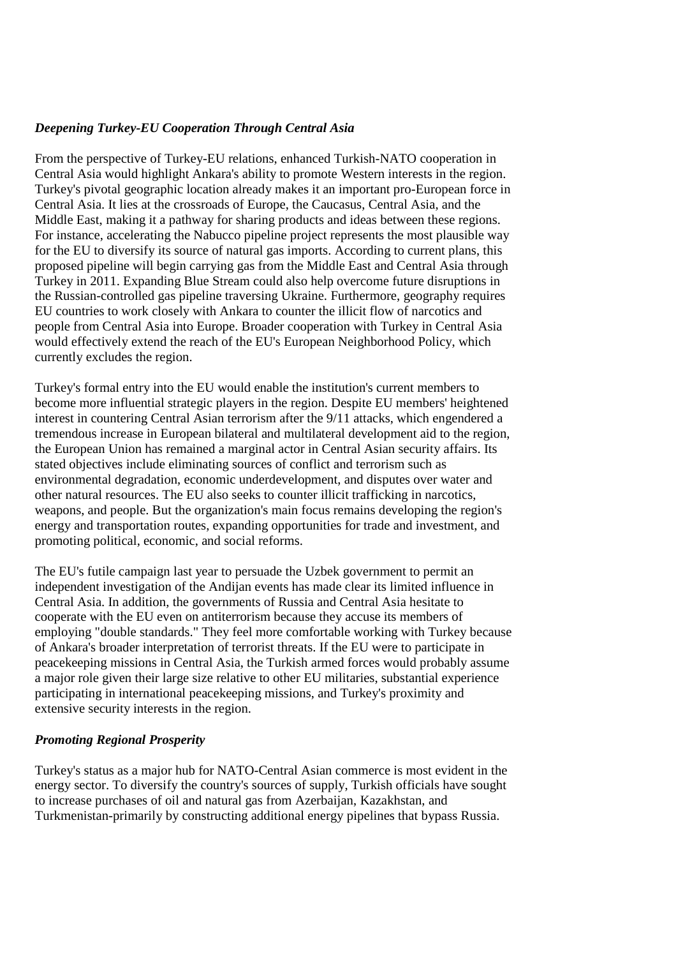# *Deepening Turkey-EU Cooperation Through Central Asia*

From the perspective of Turkey-EU relations, enhanced Turkish-NATO cooperation in Central Asia would highlight Ankara's ability to promote Western interests in the region. Turkey's pivotal geographic location already makes it an important pro-European force in Central Asia. It lies at the crossroads of Europe, the Caucasus, Central Asia, and the Middle East, making it a pathway for sharing products and ideas between these regions. For instance, accelerating the Nabucco pipeline project represents the most plausible way for the EU to diversify its source of natural gas imports. According to current plans, this proposed pipeline will begin carrying gas from the Middle East and Central Asia through Turkey in 2011. Expanding Blue Stream could also help overcome future disruptions in the Russian-controlled gas pipeline traversing Ukraine. Furthermore, geography requires EU countries to work closely with Ankara to counter the illicit flow of narcotics and people from Central Asia into Europe. Broader cooperation with Turkey in Central Asia would effectively extend the reach of the EU's European Neighborhood Policy, which currently excludes the region.

Turkey's formal entry into the EU would enable the institution's current members to become more influential strategic players in the region. Despite EU members' heightened interest in countering Central Asian terrorism after the 9/11 attacks, which engendered a tremendous increase in European bilateral and multilateral development aid to the region, the European Union has remained a marginal actor in Central Asian security affairs. Its stated objectives include eliminating sources of conflict and terrorism such as environmental degradation, economic underdevelopment, and disputes over water and other natural resources. The EU also seeks to counter illicit trafficking in narcotics, weapons, and people. But the organization's main focus remains developing the region's energy and transportation routes, expanding opportunities for trade and investment, and promoting political, economic, and social reforms.

The EU's futile campaign last year to persuade the Uzbek government to permit an independent investigation of the Andijan events has made clear its limited influence in Central Asia. In addition, the governments of Russia and Central Asia hesitate to cooperate with the EU even on antiterrorism because they accuse its members of employing "double standards." They feel more comfortable working with Turkey because of Ankara's broader interpretation of terrorist threats. If the EU were to participate in peacekeeping missions in Central Asia, the Turkish armed forces would probably assume a major role given their large size relative to other EU militaries, substantial experience participating in international peacekeeping missions, and Turkey's proximity and extensive security interests in the region.

### *Promoting Regional Prosperity*

Turkey's status as a major hub for NATO-Central Asian commerce is most evident in the energy sector. To diversify the country's sources of supply, Turkish officials have sought to increase purchases of oil and natural gas from Azerbaijan, Kazakhstan, and Turkmenistan-primarily by constructing additional energy pipelines that bypass Russia.